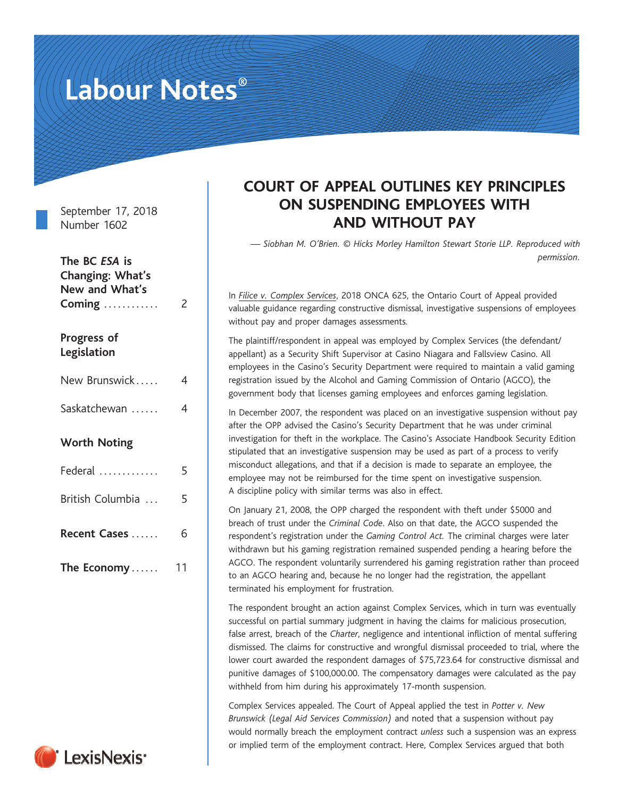# Labour Notes®

September 17, 2018 Number 1602

| The BC ESA is<br>Changing: What's<br>New and What's<br>Coming | 2  |
|---------------------------------------------------------------|----|
| Progress of<br>Legislation                                    |    |
| New Brunswick                                                 | 4  |
| Saskatchewan                                                  | 4  |
| <b>Worth Noting</b>                                           |    |
| Federal                                                       | 5  |
| British Columbia                                              | 5  |
| Recent Cases                                                  | 6  |
| The Economy                                                   | 11 |

## LexisNexis'

### COURT OF APPEAL OUTLINES KEY PRINCIPLES ON SUSPENDING EMPLOYEES WITH AND WITHOUT PAY

— Siobhan M. O'Brien. © Hicks Morley Hamilton Stewart Storie LLP. Reproduced with permission.

In [Filice v. Complex Services](https://www.canlii.org/en/on/onca/doc/2018/2018onca625/2018onca625.html?autocompleteStr=complex%20&autocompletePos=1), 2018 ONCA 625, the Ontario Court of Appeal provided valuable guidance regarding constructive dismissal, investigative suspensions of employees without pay and proper damages assessments.

The plaintiff/respondent in appeal was employed by Complex Services (the defendant/ appellant) as a Security Shift Supervisor at Casino Niagara and Fallsview Casino. All employees in the Casino's Security Department were required to maintain a valid gaming registration issued by the Alcohol and Gaming Commission of Ontario (AGCO), the government body that licenses gaming employees and enforces gaming legislation.

In December 2007, the respondent was placed on an investigative suspension without pay after the OPP advised the Casino's Security Department that he was under criminal investigation for theft in the workplace. The Casino's Associate Handbook Security Edition stipulated that an investigative suspension may be used as part of a process to verify misconduct allegations, and that if a decision is made to separate an employee, the employee may not be reimbursed for the time spent on investigative suspension. A discipline policy with similar terms was also in effect.

On January 21, 2008, the OPP charged the respondent with theft under \$5000 and breach of trust under the Criminal Code. Also on that date, the AGCO suspended the respondent's registration under the Gaming Control Act. The criminal charges were later withdrawn but his gaming registration remained suspended pending a hearing before the AGCO. The respondent voluntarily surrendered his gaming registration rather than proceed to an AGCO hearing and, because he no longer had the registration, the appellant terminated his employment for frustration.

The respondent brought an action against Complex Services, which in turn was eventually successful on partial summary judgment in having the claims for malicious prosecution, false arrest, breach of the Charter, negligence and intentional infliction of mental suffering dismissed. The claims for constructive and wrongful dismissal proceeded to trial, where the lower court awarded the respondent damages of \$75,723.64 for constructive dismissal and punitive damages of \$100,000.00. The compensatory damages were calculated as the pay withheld from him during his approximately 17-month suspension.

Complex Services appealed. The Court of Appeal applied the test in Potter v. New Brunswick (Legal Aid Services Commission) and noted that a suspension without pay would normally breach the employment contract unless such a suspension was an express or implied term of the employment contract. Here, Complex Services argued that both